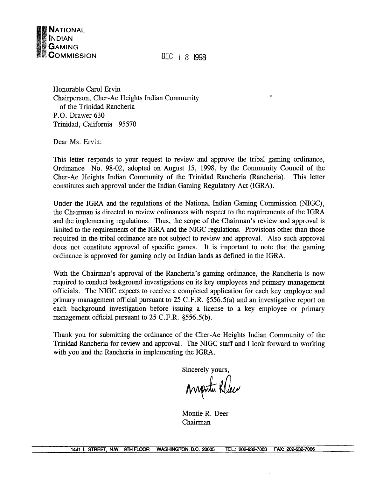

DEC | 8 1998

Honorable Carol Ervin Chairperson, Cher-Ae Heights Indian Community of the Trinidad Rancheria P.O. Drawer 630 Trinidad, California 95570

Dear Ms. Ervin:

This letter responds to your request to review and approve the tribal gaming ordinance, Ordinance No. 98-02, adopted on August 15, 1998, by the Community Council of the Cher-Ae Heights Indian Community of the Trinidad Rancheria (Rancheria). This letter constitutes such approval under the Indian Gaming Regulatory Act (IGRA).

Under the IGRA and the regulations of the National Indian Gaming Commission (NIGC), the Chairman is directed to review ordinances with respect to the requirements of the IGRA and the implementing regulations. Thus, the scope of the Chairman's review and approval is limited to the requirements of the IGRA and the NIGC regulations. Provisions other than those required in the tribal ordinance are not subject to review and approval. Also such approval does not constitute approval of specific games. It is important to note that the gaming ordinance is approved for gaming only on Indian lands as defined in the IGRA.

With the Chairman's approval of the Rancheria's gaming ordinance, the Rancheria is now required to conduct background investigations on its key employees and primary management officials. The NIGC expects to receive a completed application for each key employee and primary management official pursuant to 25 C.F.R. §556.5(a) and an investigative report on each background investigation before issuing a license to a key employee or primary management official pursuant to 25 C.F.R. §556.5(b).

Thank you for submitting the ordinance of the Cher-Ae Heights Indian Community of the Trinidad Rancheria for review and approval. The NIGC staff and I look forward to working with you and the Rancheria in implementing the IGRA.

Sincerely yours,

Mpitu Klee

Montie R. Deer Chairman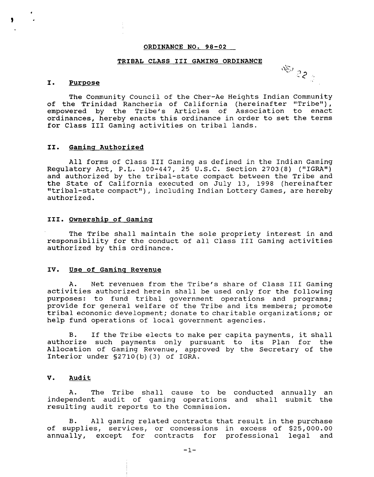#### **ORDINANCE NO. 98-02**

#### **TRIBAL CLASS I11 GAMING ORDINANCE**

 $\frac{\partial \mathcal{L}_{\mathcal{C}}}{\partial \mathcal{L}_{\mathcal{C}}}$ 

# **I. Purpose**

The Community Council of the Cher-Ae Heights Indian Community of the Trinidad Rancheria of California (hereinafter "Tribe"), empowered by the Tribe's Articles of Association to enact ordinances, hereby enacts this ordinance in order to set the terms for Class **I11** Gaming activities on tribal lands.

# **11. Gamins Authorized**

All forms of Class I11 Gaming as defined in the Indian Gaming Regulatory Act, P.L. 100-447, 25 U.S.C. Section 2703(8) ("IGRA") and authorized by the tribal-state compact between the Tribe and the State of California executed on July 13, 1998 (hereinafter "tribal-state compact"), including Indian Lottery Games, are hereby authorized.

#### **111. Ownership of Gaminq**

The Tribe shall maintain the sole propriety interest in and responsibility for the conduct of all Class **I11** Gaming activities authorized by this ordinance.

#### IV. Use of Gaming Revenue

A. Net revenues from the Tribe's share of Class I11 Gaming activities authorized herein shall be used only for the following purposes: to fund tribal government operations and programs; provide for general welfare of the Tribe and its members; promote tribal economic development; donate to charitable organizations; or help fund operations of local government agencies.

B. If the Tribe elects to make per capita payments, it shall authorize such payments only pursuant to its Plan for the Allocation of Gaming Revenue, approved by the Secretary of the Interior under §2710(b)(3) of IGRA.

# **V. Audit**

A. The Tribe shall cause to be conducted annually an independent audit of gaming operations and shall submit the resulting audit reports to the Commission.

B. All gaming related contracts that result in the purchase of supplies, services, or concessions in excess of \$25,000.00 annually, except for contracts for professional legal and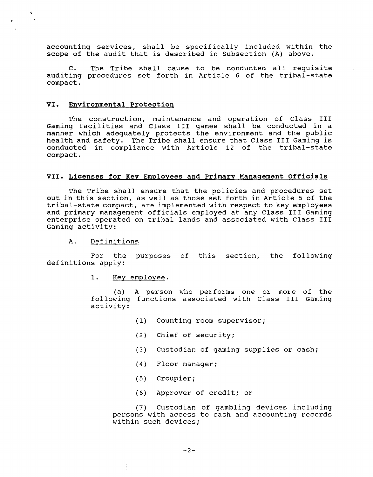accounting services, shall be specifically included within the scope of the audit that is described in Subsection (A) above.

C. The Tribe shall cause to be conducted all requisite auditing procedures set forth in Article 6 of the tribal-state compact.

#### **VI. Environmental Protection**

The construction, maintenance and operation of Class I11 Gaming facilities and Class I11 games shall be conducted in a manner which adequately protects the environment and the public health and safety. The Tribe shall ensure that Class I11 Gaming is conducted in compliance with Article 12 of the tribal-state compact.

## **VII. Licenses for Key Employees and Primary Manaqement Officials**

The Tribe shall ensure that the policies and procedures set out in this section, as well as those set forth in Article 5 of the tribal-state compact, are implemented with respect to key employees and primary management officials employed at any Class I11 Gaming enterprise operated on tribal lands and associated with Class I11 Gaming activity:

# A. Definitions

For the purposes of this section, the following definitions apply:

## 1. Key employee.

(a) A person who performs one or more of the following functions associated with Class I11 Gaming activity:

- (1) counting room supervisor;
- (2) Chief of security;
- (3) Custodian of gaming supplies or cash;
- (4) Floor manager;
- (5) Croupier;
- (6) Approver of credit; or

(7) Custodian of gambling devices including persons with access to cash and accounting records within such devices;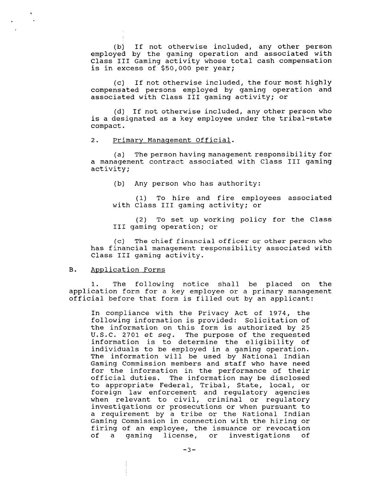(b) If not otherwise included, any other person employed by the gaming operation and associated with Class **I11** Gaming activity whose total cash compensation is in excess of \$50,000 per year;

(c) If not otherwise included, the four most highly compensated persons employed by gaming operation and associated with Class I11 gaming activity; or

(d) If not otherwise included, any other person who is a designated as a key employee under the tribal-state compact.

#### 2. Primary Manaqement Official.

(a) The person having management responsibility for a management contract associated with Class I11 gaming activity ;

(b) Any person who has authority:

(1) To hire and fire employees associated with Class I11 gaming activity; or

(2) To set up working policy for the Class I11 gaming operation; or

**(c)** The chief financial officer or other person who has financial management responsibility associated with Class I11 gaming activity.

### B. Application Forms

1. The following notice shall be placed on the application form for a key employee or a primary management official before that form is filled out by an applicant:

In compliance with the Privacy Act of 1974, the following information is provided: Solicitation of the information on this form is authorized by 25  $U.S.C.$  2701 et seq. The purpose of the requested The purpose of the requested information is to determine the eligibility of individuals to be employed in a gaming operation. The information will be used by National Indian Gaming Commission members and staff who have need for the information in the performance of their official duties. The information may be disclosed to appropriate Federal, Tribal, State, local, or foreign law enforcement and regulatory agencies when relevant to civil, criminal or regulatory investigations or prosecutions or when pursuant to a requirement by a tribe or the National Indian Gaming Commission in connection with the hiring or firing of an employee, the issuance or revocation of a gaming license, or investigations of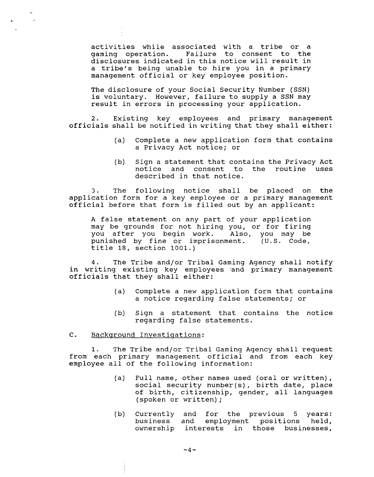activities while associated with a tribe or a<br>gaming operation. Failure to consent to the Failure to consent to the disclosures indicated in this notice will result in a tribe's being unable to hire you in a primary management official or key employee position.

The disclosure of your Social Security Number (SSN) is voluntary. However, failure to supply a SSN may result in errors in processing your application.

2. Existing key employees and primary management officials shall be notified in writing that they shall either:

- (a) Complete a new application form that contains a Privacy Act notice; or
- (b) Sign a statement that contains the Privacy Act notice and consent to the routine uses described in that notice.

3. The following notice shall be placed on the application form for a key employee or a primary management official before that form is filled out by an applicant:

A false statement on any part of your application may be 'grounds for not hiring you, or for firing you after you begin work. Also, you may be<br>punished by fine or imprisonment. (U.S. Code, punished by fine or imprisonment. title **18,** section **1001.)** 

4. The Tribe and/or Tribal Gaming Agency shall notify in writing existing key employees 'and primary management officials that they shall either:

- (a) Complete a new application form that contains a notice regarding false statements; or
- (b) Sign a statement that contains the notice regarding false statements.

# C. Backqround Investiqations:

**1.** The Tribe and/or Tribal Gaming Agency shall request from each primary management official and from each key employee all of the following information:

- (a) Full name, other names used (oral or written), social security number(s), birth date, place of birth, citizenship, gender, all languages (spoken or written) ;
- (b) Currently and for the previous 5 years:<br>business and employment positions held, employment positions ownership interests in those businesses,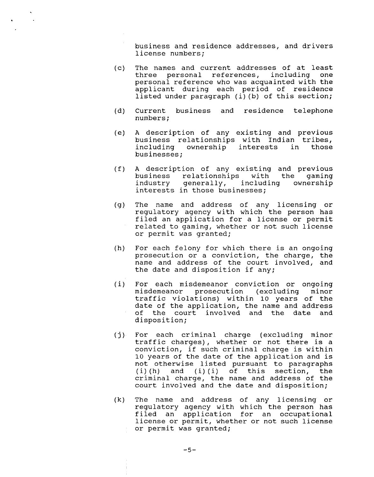business and residence addresses, and drivers license numbers;

- The names and current addresses of at least<br>three personal references, including one  $(c)$ three personal references, including personal reference who was acquainted with the applicant during each period of residence listed under paragraph (i) (b) of this section;
- $(d)$ Current business and residence telephone numbers;
- A description of any existing and previous  $(e)$ business relationships with Indian tribes,<br>including ownership interests in those ownership interests businesses;
- $(f)$ A description of any existing and previous<br>business relationships with the gaming business relationships with the gaming<br>industry generally, including ownership generally, including ownership interests in those businesses;
- The name and address of any licensing or  $(g)$ regulatory agency with which the person has filed an application for a license or permit related to gaming, whether or not such license or permit was granted;
- For each felony for which there is an ongoing  $(h)$ prosecution or a conviction, the charge, the name and address of the court involved, and the date and disposition if any;
- $(i)$ For each misdemeanor conviction or ongoing misdemeanor prosecution (excluding minor traffic violations) within 10 years of the date of the application, the name and address of the court involved and the date and disposition;
- $(i)$ For each criminal charge (excluding minor traffic charges), whether or not there is a conviction, if such criminal charge is within 10 years of the date of the application and is not otherwise listed pursuant to paragraphs<br>(i)(h) and (i)(i) of this section, the (i) (h) and (i) (i) of this section, the criminal charge, the name and address of the court involved and the date and disposition;
- The name and address of any licensing or  $(k)$ regulatory agency with which the person has filed an application for an occupational license or permit, whether or not such license or permit was granted;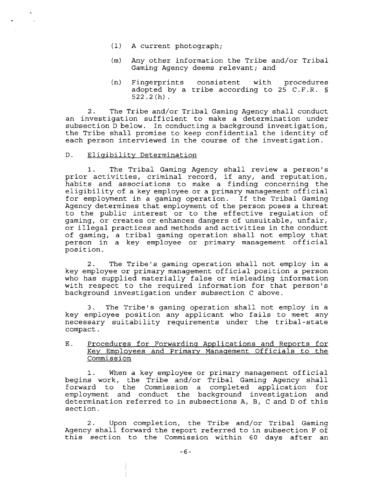- (1) A current photograph;
- (m) Any other information the Tribe and/or Tribal Gaming Agency deems relevant; and
- (n) Fingerprints consistent with procedures adopted by a tribe according to 25 C.F.R. § 522.2(h).

2. The Tribe and/or Tribal Gaming Agency shall conduct an investigation sufficient to make a determination under subsection D below. In conducting a background investigation, the Tribe shall promise to keep confidential the identity of each person interviewed in the course of the investigation.

## D. Eligibility Determination

1. The Tribal Gaming Agency shall review a person's prior activities, criminal record, if any, and reputation, habits and associations to make a finding concerning the eligibility of a key employee or a primary management official for employment in a gaming operation. If the Tribal Gaming Agency determines that employment of the person poses a threat to the public interest or to the effective regulation of gaming, or creates or enhances dangers of unsuitable, unfair, or illegal practices and methods and activities in the conduct of gaming, a tribal gaming operation shall not employ that person in a key employee or primary management official position.

2. The Tribe's gaming operation shall not employ in a key employee or primary management official position a person who has supplied materially false or misleading information with respect to the required information for that person's background investigation under subsection C above.

3. The Tribe's gaming operation shall not employ in a key employee position any applicant who fails to meet any necessary suitability requirements under the tribal-state compact.

# E. Procedures for Forwarding Applications and Reports for Key Employees and Primary Management Officials to the Commission

1. When a key employee or primary management official begins work, the Tribe and/or Tribal Gaming Agency shall forward to the Commission a completed application for employment and conduct the background investigation and determination referred to in subsections A, B, C and D of this section.

2. Upon completion, the Tribe and/or Tribal Gaming Agency shall forward the report referred to in subsection F of this section to the Commission within **60** days after an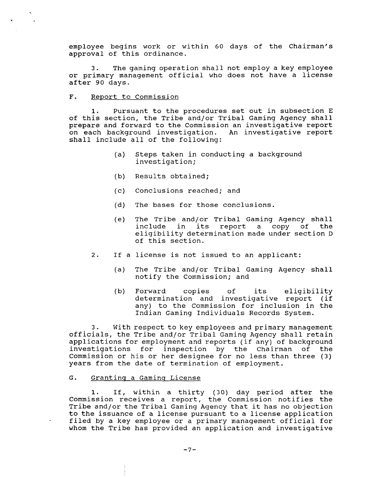employee begins work or within 60 days of the Chairman's approval of this ordinance.

**3.** The gaming operation shall not employ a key employee or primary management official who does not have a license after 90 days.

# F. Report to Commission

1. Pursuant to the procedures set out in subsection E of this section, the Tribe and/or Tribal Gaming Agency shall prepare and forward to the Commission an investigative report on each background investigation. An investigative report shall include all of the following:

- (a) Steps taken in conducting a background investigation;
- (b) Results obtained;
- (c) Conclusions reached; and
- (d) The bases for those conclusions.
- (e) The Tribe and/or Tribal Gaming Agency shall<br>include in its report a copy of the include in its report a copy of the eligibility determination made under section D of this section.
- 2. If a license is not issued to an applicant:
	- (a) The Tribe and/or Tribal Gaming Agency shall notify the Commission; and
	- (b) Forward copies of its eligibility determination and investigative report (if any) to the Commission for inclusion in the Indian Gaming Individuals Records System.

**3.** With respect to key employees and primary management officials, the Tribe and/or Tribal Gaming Agency shall retain applications for employment and reports (if any) of background investigations for inspection by the Chairman of the Commission or his or her designee for no less than three (3) years from the date of termination of employment.

# G. Granting a Gaming License

1. If, within a thirty (30) day period after the Commission receives a report, the Commission notifies the Tribe and/or the Tribal Gaming Agency that it has no objection to the issuance of a license pursuant to a license application filed by a key employee or a primary management official for whom the Tribe has provided an application and investigative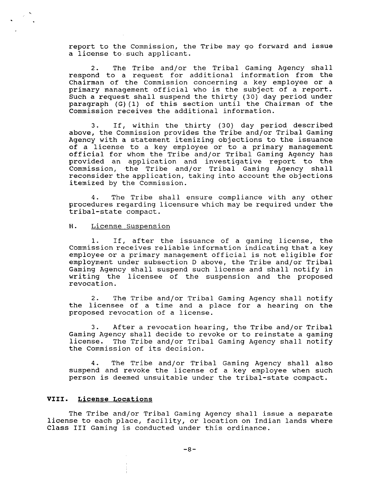report to the Commission, the Tribe may go forward and issue a license to such applicant.

2. The Tribe and/or the Tribal Gaming Agency shall respond to a request for additional information from the Chairman of the Commission concerning a key employee or a primary management official who is the subject of a report. Such a request shall suspend the thirty (30) day period under paragraph (G) (1) of this section until the Chairman of the Commission receives the additional information.

If, within the thirty (30) day period described above, the Commission provides the Tribe and/or Tribal Gaming Agency with a statement itemizing objections to the issuance of a license to a key employee or to a primary management official for whom the Tribe and/or Tribal Gaming Agency has provided an application and investigative report to the Commission, the Tribe and/or Tribal Gaming Agency shall reconsider the application, taking into account the objections itemized by the Commission.

4. The Tribe shall ensure compliance with any other procedures regarding licensure which may be required under the tribal-state compact.

## H. License Suspension

1. If, after the issuance of a gaming license, the Commission receives reliable information indicating that a key employee or a primary management official is not eligible for employment under subsection D above, the Tribe and/or Tribal Gaming Agency shall suspend such license and shall notify in writing the licensee of the suspension and the proposed revocation.

2. The Tribe and/or Tribal Gaming Agency shall notify the licensee of a time and a place for a hearing on the proposed revocation of a license.

3. After a revocation hearing, the Tribe and/or Tribal Gaming Agency shall decide to revoke or to reinstate a gaming license. The Tribe and/or Tribal Gaming Agency shall notify the Commission of its decision.

4. The Tribe and/or Tribal Gaming Agency shall also suspend and revoke the license of a key employee when such person is deemed unsuitable under the tribal-state compact.

# **VIII. License Locations**

The Tribe and/or Tribal Gaming Agency shall issue a separate license to each place, facility, or location on Indian lands where Class **I11** Gaming is conducted under this ordinance.